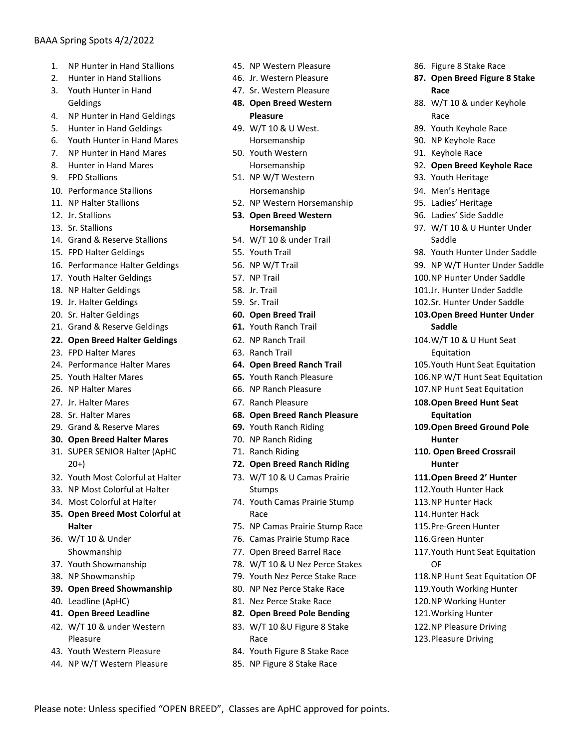# BAAA Spring Spots 4/2/2022

- 1 NP Hunter in Hand Stallions
- 2. Hunter in Hand Stallions
- 3. Youth Hunter in Hand Geldings
- 4. NP Hunter in Hand Geldings
- 5. Hunter in Hand Geldings
- 6. Youth Hunter in Hand Mares
- 7. NP Hunter in Hand Mares
- 8. Hunter in Hand Mares
- 9. FPD Stallions
- 10. Performance Stallions
- 11. NP Halter Stallions
- 12. Jr. Stallions
- 13. Sr. Stallions
- 14. Grand & Reserve Stallions
- 15. FPD Halter Geldings
- 16. Performance Halter Geldings
- 17. Youth Halter Geldings
- 18. NP Halter Geldings
- 19. Jr. Halter Geldings
- 20. Sr. Halter Geldings
- 21. Grand & Reserve Geldings
- **22. Open Breed Halter Geldings**
- 23. FPD Halter Mares
- 24. Performance Halter Mares
- 25. Youth Halter Mares
- 26. NP Halter Mares
- 27. Jr. Halter Mares
- 28. Sr. Halter Mares
- 29. Grand & Reserve Mares
- **30. Open Breed Halter Mares**
- 31. SUPER SENIOR Halter (ApHC 20+)
- 32. Youth Most Colorful at Halter
- 33. NP Most Colorful at Halter
- 34. Most Colorful at Halter
- **35. Open Breed Most Colorful at Halter**
- 36. W/T 10 & Under Showmanship
- 37. Youth Showmanship
- 38. NP Showmanship
- **39. Open Breed Showmanship**
- 40. Leadline (ApHC)
- **41. Open Breed Leadline**
- 42. W/T 10 & under Western Pleasure
- 43. Youth Western Pleasure
- 44. NP W/T Western Pleasure
- 45. NP Western Pleasure
- 46. Jr. Western Pleasure
- 47. Sr. Western Pleasure
- **48. Open Breed Western Pleasure**
- 49. W/T 10 & U West. Horsemanship
- 50. Youth Western Horsemanship
- 51. NP W/T Western Horsemanship
- 52. NP Western Horsemanship
- **53. Open Breed Western Horsemanship**
- 54. W/T 10 & under Trail
- 55. Youth Trail
- 56. NP W/T Trail
- 57. NP Trail
- 58. Jr. Trail
- 59. Sr. Trail
- **60. Open Breed Trail**
- **61.** Youth Ranch Trail
- 62. NP Ranch Trail
- 63. Ranch Trail
- **64. Open Breed Ranch Trail**
- **65.** Youth Ranch Pleasure
- 66. NP Ranch Pleasure
- 67. Ranch Pleasure
- **68. Open Breed Ranch Pleasure**
- **69.** Youth Ranch Riding
- 70. NP Ranch Riding
- 71. Ranch Riding
- **72. Open Breed Ranch Riding**
- 73. W/T 10 & U Camas Prairie Stumps
- 74. Youth Camas Prairie Stump Race
- 75. NP Camas Prairie Stump Race
- 76. Camas Prairie Stump Race
- 77. Open Breed Barrel Race
- 78. W/T 10 & U Nez Perce Stakes
- 79. Youth Nez Perce Stake Race
- 80. NP Nez Perce Stake Race
- 81. Nez Perce Stake Race
- **82. Open Breed Pole Bending**
- 83. W/T 10 &U Figure 8 Stake Race
- 84. Youth Figure 8 Stake Race
- 85. NP Figure 8 Stake Race

Please note: Unless specified "OPEN BREED", Classes are ApHC approved for points.

- 86. Figure 8 Stake Race
- **87. Open Breed Figure 8 Stake Race**
- 88. W/T 10 & under Keyhole Race
- 89. Youth Keyhole Race
- 90. NP Keyhole Race
- 91. Keyhole Race
- 92. Open Breed Keyhole Race
- 93. Youth Heritage
- 94. Men's Heritage
- 95. Ladies' Heritage

**Saddle**

Equitation

**Equitation**

**Hunter**

**Hunter**

OF

- 96. Ladies' Side Saddle
- 97. W/T 10 & U Hunter Under Saddle
- 98. Youth Hunter Under Saddle
- 99. NP W/T Hunter Under Saddle

100.NP Hunter Under Saddle 101.Jr. Hunter Under Saddle 102.Sr. Hunter Under Saddle **103.Open Breed Hunter Under** 

104. W/T 10 & U Hunt Seat

105. Youth Hunt Seat Equitation 106.NP W/T Hunt Seat Equitation 107.NP Hunt Seat Equitation 108. Open Breed Hunt Seat

109. Open Breed Ground Pole

**110. Open Breed Crossrail** 

**111.Open Breed 2' Hunter** 112. Youth Hunter Hack 113.NP Hunter Hack 114. Hunter Hack 115. Pre-Green Hunter 116.Green Hunter

117. Youth Hunt Seat Equitation

118.NP Hunt Seat Equitation OF 119.Youth Working Hunter 120.NP Working Hunter 121. Working Hunter 122.NP Pleasure Driving 123. Pleasure Driving